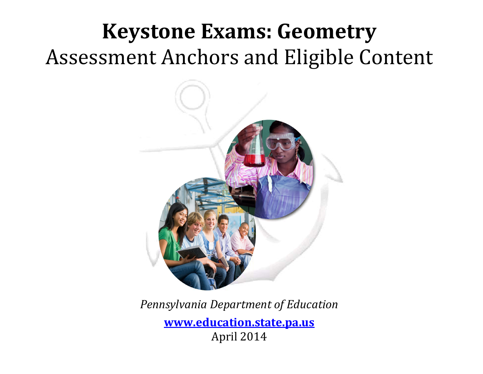# **Keystone Exams: Geometry** Assessment Anchors and Eligible Content



*Pennsylvania Department of Education*

**www.education.state.pa.us** April 2014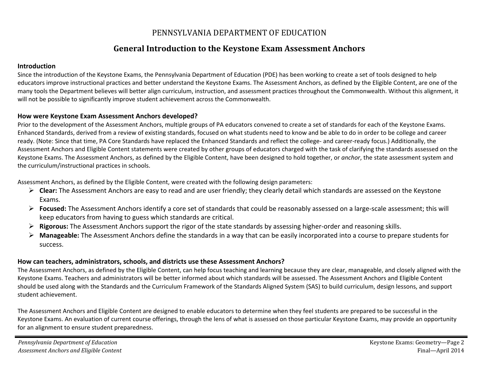# PENNSYLVANIA DEPARTMENT OF EDUCATION

# **General Introduction to the Keystone Exam Assessment Anchors**

#### **Introduction**

Since the introduction of the Keystone Exams, the Pennsylvania Department of Education (PDE) has been working to create <sup>a</sup> set of tools designed to help educators improve instructional practices and better understand the Keystone Exams. The Assessment Anchors, as defined by the Eligible Content, are one of the many tools the Department believes will better align curriculum, instruction, and assessment practices throughout the Commonwealth. Without this alignment, it will not be possible to significantly improve student achievement across the Commonwealth.

#### **How were Keystone Exam Assessment Anchors developed?**

Prior to the development of the Assessment Anchors, multiple groups of PA educators convened to create <sup>a</sup> set of standards for each of the Keystone Exams. Enhanced Standards, derived from <sup>a</sup> review of existing standards, focused on what students need to know and be able to do in order to be college and career ready. (Note: Since that time, PA Core Standards have replaced the Enhanced Standards and reflect the college- and career-ready focus.) Additionally, the Assessment Anchors and Eligible Content statements were created by other groups of educators charged with the task of clarifying the standards assessed on the Keystone Exams. The Assessment Anchors, as defined by the Eligible Content, have been designed to hold together, or *anchor*, the state assessment system and the curriculum/instructional practices in schools.

Assessment Anchors, as defined by the Eligible Content, were created with the following design parameters:

- **Clear:** The Assessment Anchors are easy to read and are user friendly; they clearly detail which standards are assessed on the Keystone Exams.
- **Focused:** The Assessment Anchors identify <sup>a</sup> core set of standards that could be reasonably assessed on <sup>a</sup> large‐scale assessment; this will keep educators from having to guess which standards are critical.
- **Rigorous:** The Assessment Anchors support the rigor of the state standards by assessing higher‐order and reasoning skills.
- ➤ **Manageable:** The Assessment Anchors define the standards in <sup>a</sup> way that can be easily incorporated into <sup>a</sup> course to prepare students for success.

#### **How can teachers, administrators, schools, and districts use these Assessment Anchors?**

The Assessment Anchors, as defined by the Eligible Content, can help focus teaching and learning because they are clear, manageable, and closely aligned with the Keystone Exams. Teachers and administrators will be better informed about which standards will be assessed. The Assessment Anchors and Eligible Content should be used along with the Standards and the Curriculum Framework of the Standards Aligned System (SAS) to build curriculum, design lessons, and support student achievement.

The Assessment Anchors and Eligible Content are designed to enable educators to determine when they feel students are prepared to be successful in the Keystone Exams. An evaluation of current course offerings, through the lens of what is assessed on those particular Keystone Exams, may provide an opportunity for an alignment to ensure student preparedness.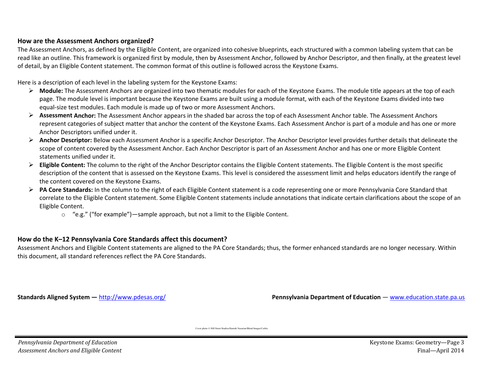#### **How are the Assessment Anchors organized?**

The Assessment Anchors, as defined by the Eligible Content, are organized into cohesive blueprints, each structured with <sup>a</sup> common labeling system that can be read like an outline. This framework is organized first by module, then by Assessment Anchor, followed by Anchor Descriptor, and then finally, at the greatest level of detail, by an Eligible Content statement. The common format of this outline is followed across the Keystone Exams.

Here is <sup>a</sup> description of each level in the labeling system for the Keystone Exams:

- **EXT** Module: The Assessment Anchors are organized into two thematic modules for each of the Keystone Exams. The module title appears at the top of each page. The module level is important because the Keystone Exams are built using <sup>a</sup> module format, with each of the Keystone Exams divided into two equal‐size test modules. Each module is made up of two or more Assessment Anchors.
- **Assessment Anchor:** The Assessment Anchor appears in the shaded bar across the top of each Assessment Anchor table. The Assessment Anchors represent categories of subject matter that anchor the content of the Keystone Exams. Each Assessment Anchor is part of <sup>a</sup> module and has one or more Anchor Descriptors unified under it.
- **EXT Anchor Descriptor:** Below each Assessment Anchor is a specific Anchor Descriptor. The Anchor Descriptor level provides further details that delineate the scope of content covered by the Assessment Anchor. Each Anchor Descriptor is part of an Assessment Anchor and has one or more Eligible Content statements unified under it.
- **Eligible Content:** The column to the right of the Anchor Descriptor contains the Eligible Content statements. The Eligible Content is the most specific description of the content that is assessed on the Keystone Exams. This level is considered the assessment limit and helps educators identify the range of the content covered on the Keystone Exams.
- **PA Core Standards:** In the column to the right of each Eligible Content statement is <sup>a</sup> code representing one or more Pennsylvania Core Standard that correlate to the Eligible Content statement. Some Eligible Content statements include annotations that indicate certain clarifications about the scope of an Eligible Content.
	- $\circ$  "e.g." ("for example")—sample approach, but not a limit to the Eligible Content.

#### **How do the K–12 Pennsylvania Core Standards affect this document?**

Assessment Anchors and Eligible Content statements are aligned to the PA Core Standards; thus, the former enhanced standards are no longer necessary. Within this document, all standard references reflect the PA Core Standards.

**Standards Aligned System - http://www.pdesas.org/** 

**Pennsylvania Department of Education — www.education.state.pa.us** 

Cover photo © Hill Street Studios/Harmik Nazarian/Blend Images/Corbis.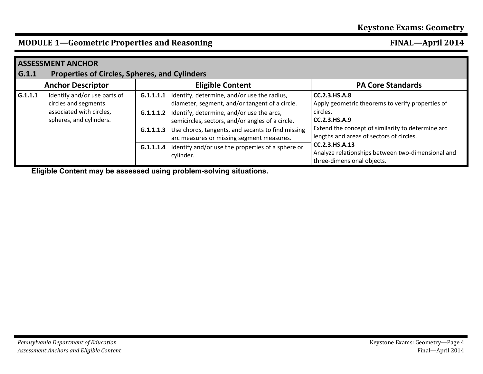## **MODULE 1—Geometric Properties and Reasoning FINAL—April 2014**

| <b>ASSESSMENT ANCHOR</b> |                                                                                                             |           |                                                                                                                |                                                                                                                                                                                                        |  |  |
|--------------------------|-------------------------------------------------------------------------------------------------------------|-----------|----------------------------------------------------------------------------------------------------------------|--------------------------------------------------------------------------------------------------------------------------------------------------------------------------------------------------------|--|--|
| G.1.1                    | <b>Properties of Circles, Spheres, and Cylinders</b>                                                        |           |                                                                                                                |                                                                                                                                                                                                        |  |  |
|                          | <b>Anchor Descriptor</b>                                                                                    |           | <b>Eligible Content</b>                                                                                        | <b>PA Core Standards</b>                                                                                                                                                                               |  |  |
| G.1.1.1                  | Identify and/or use parts of<br>circles and segments<br>associated with circles,<br>spheres, and cylinders. | G.1.1.1.1 | Identify, determine, and/or use the radius,<br>diameter, segment, and/or tangent of a circle.                  | <b>CC.2.3.HS.A.8</b><br>Apply geometric theorems to verify properties of<br>circles.<br>CC.2.3.HS.A.9<br>Extend the concept of similarity to determine arc<br>lengths and areas of sectors of circles. |  |  |
|                          |                                                                                                             |           | <b>G.1.1.1.2</b> Identify, determine, and/or use the arcs,<br>semicircles, sectors, and/or angles of a circle. |                                                                                                                                                                                                        |  |  |
|                          |                                                                                                             | G.1.1.1.3 | Use chords, tangents, and secants to find missing<br>arc measures or missing segment measures.                 |                                                                                                                                                                                                        |  |  |
|                          |                                                                                                             | G.1.1.1.4 | Identify and/or use the properties of a sphere or<br>cylinder.                                                 | CC.2.3.HS.A.13<br>Analyze relationships between two-dimensional and<br>three-dimensional objects.                                                                                                      |  |  |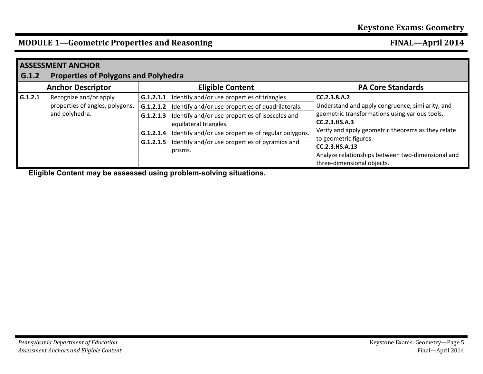# **MODULE 1—Geometric Properties and Reasoning FINAL—April 2014**

| <b>ASSESSMENT ANCHOR</b> |                                                                             |           |                                                                           |                                                                                                                                                                                                                                                                                                                         |  |
|--------------------------|-----------------------------------------------------------------------------|-----------|---------------------------------------------------------------------------|-------------------------------------------------------------------------------------------------------------------------------------------------------------------------------------------------------------------------------------------------------------------------------------------------------------------------|--|
| G.1.2                    | <b>Properties of Polygons and Polyhedra</b>                                 |           |                                                                           |                                                                                                                                                                                                                                                                                                                         |  |
|                          | <b>Anchor Descriptor</b>                                                    |           | <b>Eligible Content</b>                                                   | <b>PA Core Standards</b>                                                                                                                                                                                                                                                                                                |  |
| G.1.2.1                  | Recognize and/or apply<br>properties of angles, polygons,<br>and polyhedra. | G.1.2.1.1 | Identify and/or use properties of triangles.                              | CC.2.3.8.A.2<br>Understand and apply congruence, similarity, and<br>geometric transformations using various tools.<br>CC.2.3.HS.A.3<br>Verify and apply geometric theorems as they relate<br>to geometric figures.<br>CC.2.3.HS.A.13<br>Analyze relationships between two-dimensional and<br>three-dimensional objects. |  |
|                          |                                                                             | G.1.2.1.2 | Identify and/or use properties of quadrilaterals.                         |                                                                                                                                                                                                                                                                                                                         |  |
|                          |                                                                             | G.1.2.1.3 | Identify and/or use properties of isosceles and<br>equilateral triangles. |                                                                                                                                                                                                                                                                                                                         |  |
|                          |                                                                             | G.1.2.1.4 | Identify and/or use properties of regular polygons.                       |                                                                                                                                                                                                                                                                                                                         |  |
|                          |                                                                             | G.1.2.1.5 | Identify and/or use properties of pyramids and<br>prisms.                 |                                                                                                                                                                                                                                                                                                                         |  |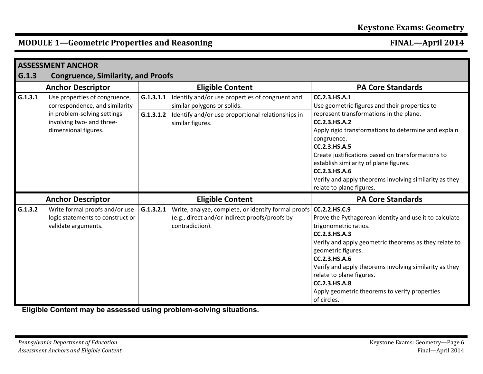# **MODULE 1—Geometric Properties and Reasoning FINAL—April 2014**

| <b>ASSESSMENT ANCHOR</b> |                                                                                                                                                     |                                                                                                                                                                                   |                                                                                                                                                                                                                                                                                                                                                                                                                          |  |  |  |
|--------------------------|-----------------------------------------------------------------------------------------------------------------------------------------------------|-----------------------------------------------------------------------------------------------------------------------------------------------------------------------------------|--------------------------------------------------------------------------------------------------------------------------------------------------------------------------------------------------------------------------------------------------------------------------------------------------------------------------------------------------------------------------------------------------------------------------|--|--|--|
| G.1.3                    | <b>Congruence, Similarity, and Proofs</b>                                                                                                           |                                                                                                                                                                                   |                                                                                                                                                                                                                                                                                                                                                                                                                          |  |  |  |
|                          | <b>Anchor Descriptor</b>                                                                                                                            | <b>Eligible Content</b>                                                                                                                                                           | <b>PA Core Standards</b>                                                                                                                                                                                                                                                                                                                                                                                                 |  |  |  |
| G.1.3.1                  | Use properties of congruence,<br>correspondence, and similarity<br>in problem-solving settings<br>involving two- and three-<br>dimensional figures. | Identify and/or use properties of congruent and<br>G.1.3.1.1<br>similar polygons or solids.<br>G.1.3.1.2<br>Identify and/or use proportional relationships in<br>similar figures. | CC.2.3.HS.A.1<br>Use geometric figures and their properties to<br>represent transformations in the plane.<br>CC.2.3.HS.A.2<br>Apply rigid transformations to determine and explain<br>congruence.<br>CC.2.3.HS.A.5<br>Create justifications based on transformations to<br>establish similarity of plane figures.<br>CC.2.3.HS.A.6<br>Verify and apply theorems involving similarity as they<br>relate to plane figures. |  |  |  |
|                          | <b>Anchor Descriptor</b>                                                                                                                            | <b>Eligible Content</b>                                                                                                                                                           | <b>PA Core Standards</b>                                                                                                                                                                                                                                                                                                                                                                                                 |  |  |  |
| G.1.3.2                  | Write formal proofs and/or use<br>logic statements to construct or<br>validate arguments.                                                           | Write, analyze, complete, or identify formal proofs   CC.2.2.HS.C.9<br>G.1.3.2.1<br>(e.g., direct and/or indirect proofs/proofs by<br>contradiction).                             | Prove the Pythagorean identity and use it to calculate<br>trigonometric ratios.<br>CC.2.3.HS.A.3<br>Verify and apply geometric theorems as they relate to<br>geometric figures.<br>CC.2.3.HS.A.6<br>Verify and apply theorems involving similarity as they<br>relate to plane figures.<br>CC.2.3.HS.A.8<br>Apply geometric theorems to verify properties<br>of circles.                                                  |  |  |  |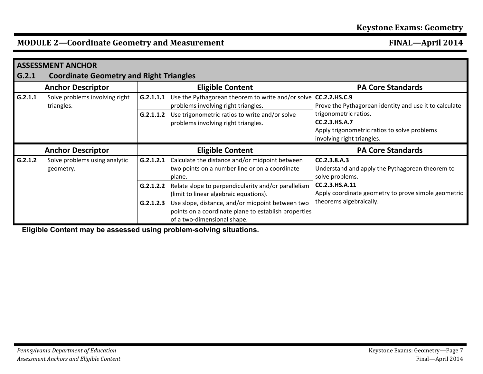## **MODULE 2—Coordinate Geometry and Measurement FINAL—April 2014**

|         | <b>ASSESSMENT ANCHOR</b>                       |           |                                                                                                            |                                                                                                                             |  |
|---------|------------------------------------------------|-----------|------------------------------------------------------------------------------------------------------------|-----------------------------------------------------------------------------------------------------------------------------|--|
| G.2.1   | <b>Coordinate Geometry and Right Triangles</b> |           |                                                                                                            |                                                                                                                             |  |
|         | <b>Anchor Descriptor</b>                       |           | <b>Eligible Content</b>                                                                                    | <b>PA Core Standards</b>                                                                                                    |  |
| G.2.1.1 | Solve problems involving right<br>triangles.   | G.2.1.1.1 | Use the Pythagorean theorem to write and/or solve CC.2.2.HS.C.9<br>problems involving right triangles.     | Prove the Pythagorean identity and use it to calculate                                                                      |  |
|         |                                                | G.2.1.1.2 | Use trigonometric ratios to write and/or solve<br>problems involving right triangles.                      | trigonometric ratios.<br><b>CC.2.3.HS.A.7</b><br>Apply trigonometric ratios to solve problems<br>involving right triangles. |  |
|         |                                                |           |                                                                                                            |                                                                                                                             |  |
|         | <b>Anchor Descriptor</b>                       |           | <b>Eligible Content</b>                                                                                    | <b>PA Core Standards</b>                                                                                                    |  |
| G.2.1.2 | Solve problems using analytic<br>geometry.     | G.2.1.2.1 | Calculate the distance and/or midpoint between<br>two points on a number line or on a coordinate<br>plane. | CC.2.3.8.A.3<br>Understand and apply the Pythagorean theorem to<br>solve problems.                                          |  |
|         |                                                | G.2.1.2.2 | Relate slope to perpendicularity and/or parallelism<br>(limit to linear algebraic equations).              | CC.2.3.HS.A.11<br>Apply coordinate geometry to prove simple geometric<br>theorems algebraically.                            |  |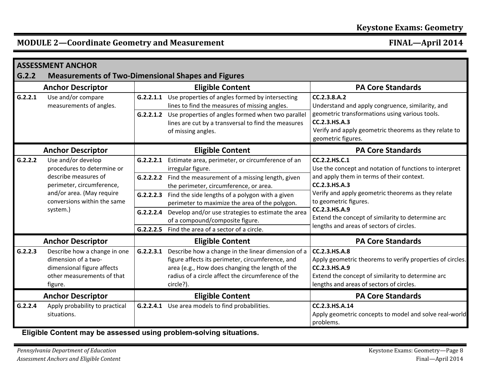## **MODULE 2—Coordinate Geometry and Measurement FINAL—April 2014**

|         | <b>ASSESSMENT ANCHOR</b>                                                                                                                                                      |  |                                                                                                                                                                                                                                        |                                                                                                                                                                                              |  |  |
|---------|-------------------------------------------------------------------------------------------------------------------------------------------------------------------------------|--|----------------------------------------------------------------------------------------------------------------------------------------------------------------------------------------------------------------------------------------|----------------------------------------------------------------------------------------------------------------------------------------------------------------------------------------------|--|--|
| G.2.2   | <b>Measurements of Two-Dimensional Shapes and Figures</b>                                                                                                                     |  |                                                                                                                                                                                                                                        |                                                                                                                                                                                              |  |  |
|         | <b>Anchor Descriptor</b>                                                                                                                                                      |  | <b>Eligible Content</b>                                                                                                                                                                                                                | <b>PA Core Standards</b>                                                                                                                                                                     |  |  |
| G.2.2.1 | Use and/or compare<br>measurements of angles.                                                                                                                                 |  | G.2.2.1.1 Use properties of angles formed by intersecting<br>lines to find the measures of missing angles.                                                                                                                             | CC.2.3.8.A.2<br>Understand and apply congruence, similarity, and                                                                                                                             |  |  |
|         |                                                                                                                                                                               |  | G.2.2.1.2 Use properties of angles formed when two parallel<br>lines are cut by a transversal to find the measures<br>of missing angles.                                                                                               | geometric transformations using various tools.<br>CC.2.3.HS.A.3<br>Verify and apply geometric theorems as they relate to<br>geometric figures.                                               |  |  |
|         | <b>Anchor Descriptor</b>                                                                                                                                                      |  | <b>Eligible Content</b>                                                                                                                                                                                                                | <b>PA Core Standards</b>                                                                                                                                                                     |  |  |
| G.2.2.2 | Use and/or develop<br>procedures to determine or<br>describe measures of<br>perimeter, circumference,<br>and/or area. (May require<br>conversions within the same<br>system.) |  | G.2.2.2.1 Estimate area, perimeter, or circumference of an<br>irregular figure.                                                                                                                                                        | CC.2.2.HS.C.1<br>Use the concept and notation of functions to interpret                                                                                                                      |  |  |
|         |                                                                                                                                                                               |  | G.2.2.2.2 Find the measurement of a missing length, given<br>the perimeter, circumference, or area.                                                                                                                                    | and apply them in terms of their context.<br>CC.2.3.HS.A.3<br>Verify and apply geometric theorems as they relate<br>to geometric figures.                                                    |  |  |
|         |                                                                                                                                                                               |  | <b>G.2.2.2.3</b> Find the side lengths of a polygon with a given<br>perimeter to maximize the area of the polygon.                                                                                                                     |                                                                                                                                                                                              |  |  |
|         |                                                                                                                                                                               |  | G.2.2.2.4 Develop and/or use strategies to estimate the area<br>of a compound/composite figure.                                                                                                                                        | CC.2.3.HS.A.9<br>Extend the concept of similarity to determine arc                                                                                                                           |  |  |
|         |                                                                                                                                                                               |  | <b>G.2.2.2.5</b> Find the area of a sector of a circle.                                                                                                                                                                                | lengths and areas of sectors of circles.                                                                                                                                                     |  |  |
|         | <b>Anchor Descriptor</b>                                                                                                                                                      |  | <b>Eligible Content</b>                                                                                                                                                                                                                | <b>PA Core Standards</b>                                                                                                                                                                     |  |  |
| G.2.2.3 | Describe how a change in one<br>dimension of a two-<br>dimensional figure affects<br>other measurements of that<br>figure.                                                    |  | G.2.2.3.1 Describe how a change in the linear dimension of a<br>figure affects its perimeter, circumference, and<br>area (e.g., How does changing the length of the<br>radius of a circle affect the circumference of the<br>circle?). | CC.2.3.HS.A.8<br>Apply geometric theorems to verify properties of circles.<br>CC.2.3.HS.A.9<br>Extend the concept of similarity to determine arc<br>lengths and areas of sectors of circles. |  |  |
|         | <b>Anchor Descriptor</b>                                                                                                                                                      |  | <b>Eligible Content</b>                                                                                                                                                                                                                | <b>PA Core Standards</b>                                                                                                                                                                     |  |  |
| G.2.2.4 | Apply probability to practical<br>situations.                                                                                                                                 |  | G.2.2.4.1 Use area models to find probabilities.                                                                                                                                                                                       | CC.2.3.HS.A.14<br>Apply geometric concepts to model and solve real-world<br>problems.                                                                                                        |  |  |